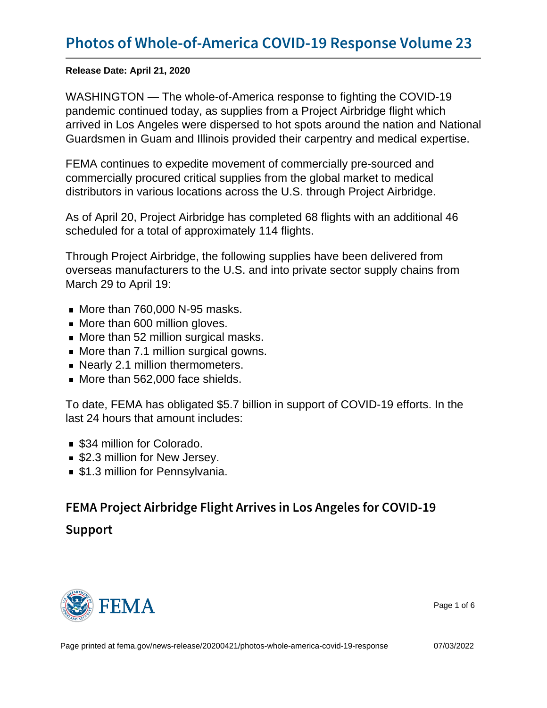Release Date: April 21, 2020

WASHINGTON — The whole-of-America response to fighting the COVID-19 pandemic continued today, as supplies from a Project Airbridge flight which arrived in Los Angeles were dispersed to hot spots around the nation and National Guardsmen in Guam and Illinois provided their carpentry and medical expertise.

FEMA continues to expedite movement of commercially pre-sourced and commercially procured critical supplies from the global market to medical distributors in various locations across the U.S. through Project Airbridge.

As of April 20, Project Airbridge has completed 68 flights with an additional 46 scheduled for a total of approximately 114 flights.

Through Project Airbridge, the following supplies have been delivered from overseas manufacturers to the U.S. and into private sector supply chains from March 29 to April 19:

- $\blacksquare$  More than 760,000 N-95 masks.
- More than 600 million gloves.
- More than 52 million surgical masks.
- More than 7.1 million surgical gowns.
- **Nearly 2.1 million thermometers.**
- More than 562,000 face shields.

To date, FEMA has obligated \$5.7 billion in support of COVID-19 efforts. In the last 24 hours that amount includes:

- **\$34 million for Colorado.**
- **S2.3 million for New Jersey.**
- **\$1.3 million for Pennsylvania.**

FEMA Project Airbridge Flight Arrives in Los Ange Support



Page 1 of 6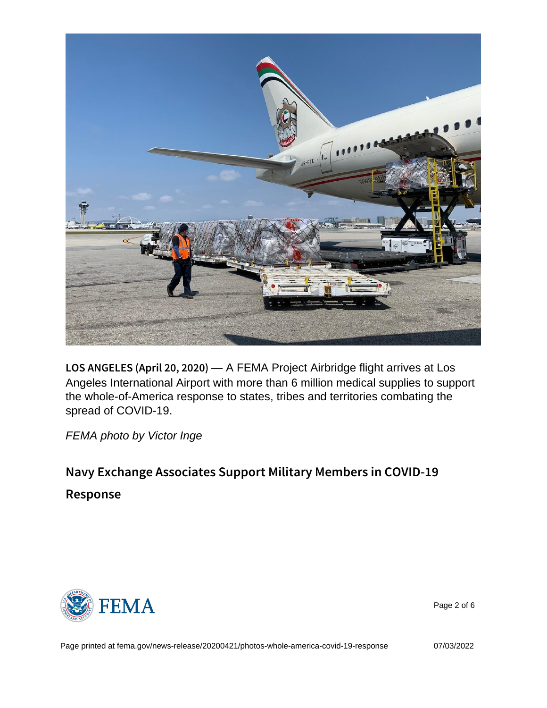LOS ANGELES (A p+iA FEMA Project Airbridge flight arrives at Los Angeles International Airport with more than 6 million medical supplies to support the whole-of-America response to states, tribes and territories combating the spread of COVID-19.

FEMA photo by Victor Inge

Navy Exchange Associates Support Military Membe Response



Page 2 of 6

Page printed at [fema.gov/news-release/20200421/photos-whole-america-covid-19-response](https://www.fema.gov/news-release/20200421/photos-whole-america-covid-19-response) 07/03/2022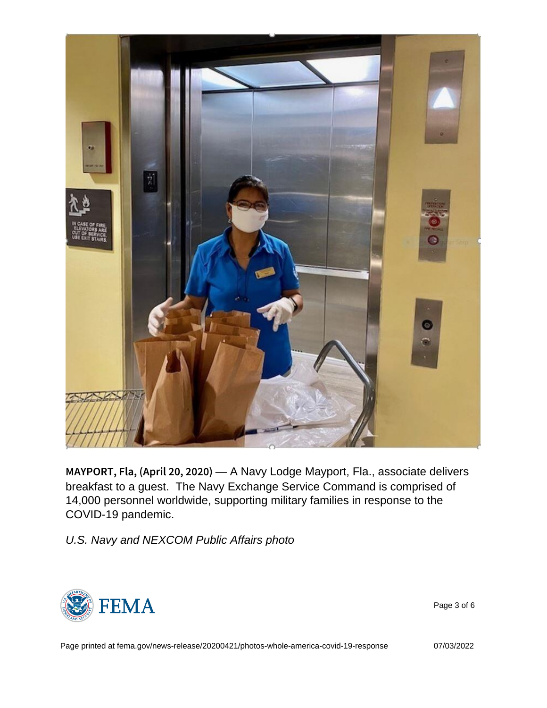MAYPORT, Fla, (Ap-rAINaXQ Lodge 2May port, Fla., associate delivers breakfast to a guest. The Navy Exchange Service Command is comprised of 14,000 personnel worldwide, supporting military families in response to the COVID-19 pandemic.

U.S. Navy and NEXCOM Public Affairs photo



Page 3 of 6

Page printed at [fema.gov/news-release/20200421/photos-whole-america-covid-19-response](https://www.fema.gov/news-release/20200421/photos-whole-america-covid-19-response) 07/03/2022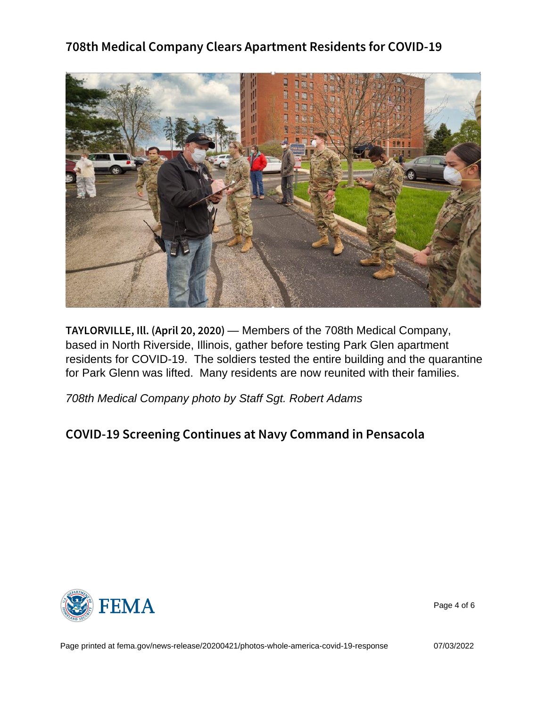TAYLORVILLE, III. (-A Members of the 708th Medical Company, based in North Riverside, Illinois, gather before testing Park Glen apartment residents for COVID-19. The soldiers tested the entire building and the quarantine for Park Glenn was lifted. Many residents are now reunited with their families.

708th Medical Company photo by Staff Sgt. Robert Adams

COVID-19 Screening Continues at Navy Command



Page 4 of 6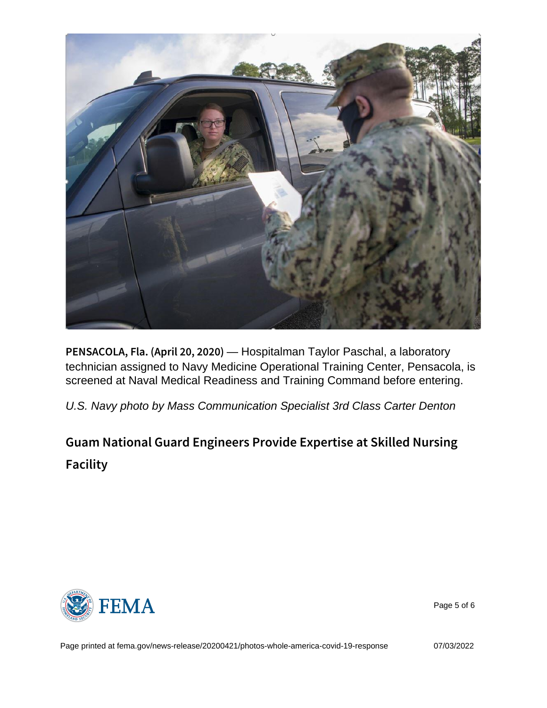PENSACOLA, Fla. (A-pHroispitalman 2Taglor) Paschal, a laboratory technician assigned to Navy Medicine Operational Training Center, Pensacola, is screened at Naval Medical Readiness and Training Command before entering.

U.S. Navy photo by Mass Communication Specialist 3rd Class Carter Denton

Guam National Guard Engineers Provide Expertise Facility



Page 5 of 6

Page printed at [fema.gov/news-release/20200421/photos-whole-america-covid-19-response](https://www.fema.gov/news-release/20200421/photos-whole-america-covid-19-response) 07/03/2022